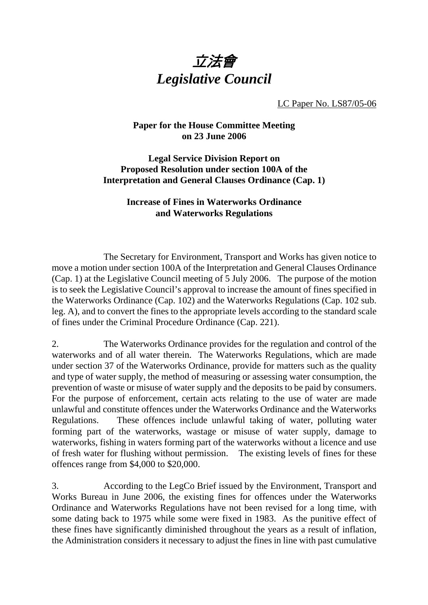

LC Paper No. LS87/05-06

## **Paper for the House Committee Meeting on 23 June 2006**

## **Legal Service Division Report on Proposed Resolution under section 100A of the Interpretation and General Clauses Ordinance (Cap. 1)**

## **Increase of Fines in Waterworks Ordinance and Waterworks Regulations**

 The Secretary for Environment, Transport and Works has given notice to move a motion under section 100A of the Interpretation and General Clauses Ordinance (Cap. 1) at the Legislative Council meeting of 5 July 2006. The purpose of the motion is to seek the Legislative Council's approval to increase the amount of fines specified in the Waterworks Ordinance (Cap. 102) and the Waterworks Regulations (Cap. 102 sub. leg. A), and to convert the fines to the appropriate levels according to the standard scale of fines under the Criminal Procedure Ordinance (Cap. 221).

2. The Waterworks Ordinance provides for the regulation and control of the waterworks and of all water therein. The Waterworks Regulations, which are made under section 37 of the Waterworks Ordinance, provide for matters such as the quality and type of water supply, the method of measuring or assessing water consumption, the prevention of waste or misuse of water supply and the deposits to be paid by consumers. For the purpose of enforcement, certain acts relating to the use of water are made unlawful and constitute offences under the Waterworks Ordinance and the Waterworks Regulations. These offences include unlawful taking of water, polluting water forming part of the waterworks, wastage or misuse of water supply, damage to waterworks, fishing in waters forming part of the waterworks without a licence and use of fresh water for flushing without permission. The existing levels of fines for these offences range from \$4,000 to \$20,000.

3. According to the LegCo Brief issued by the Environment, Transport and Works Bureau in June 2006, the existing fines for offences under the Waterworks Ordinance and Waterworks Regulations have not been revised for a long time, with some dating back to 1975 while some were fixed in 1983. As the punitive effect of these fines have significantly diminished throughout the years as a result of inflation, the Administration considers it necessary to adjust the fines in line with past cumulative